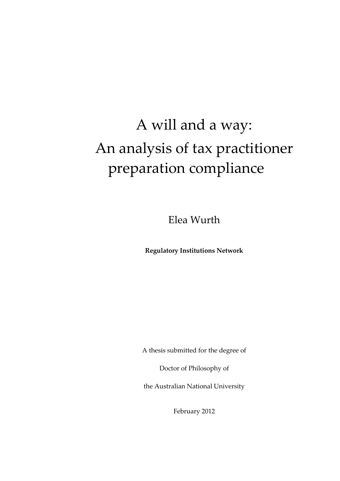## A will and a way: An analysis of tax practitioner preparation compliance

Elea Wurth

**Regulatory Institutions Network**

A thesis submitted for the degree of

Doctor of Philosophy of

the Australian National University

February 2012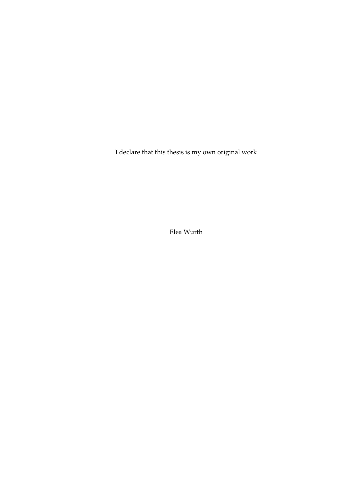I declare that this thesis is my own original work

Elea Wurth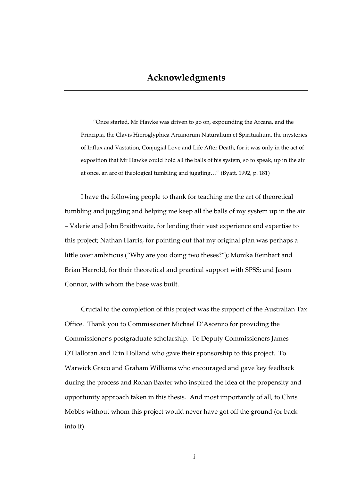<span id="page-4-0"></span>"Once started, Mr Hawke was driven to go on, expounding the Arcana, and the Principia, the Clavis Hieroglyphica Arcanorum Naturalium et Spiritualium, the mysteries of Influx and Vastation, Conjugial Love and Life After Death, for it was only in the act of exposition that Mr Hawke could hold all the balls of his system, so to speak, up in the air at once, an arc of theological tumbling and juggling…" (Byatt, 1992, p. 181)

I have the following people to thank for teaching me the art of theoretical tumbling and juggling and helping me keep all the balls of my system up in the air – Valerie and John Braithwaite, for lending their vast experience and expertise to this project; Nathan Harris, for pointing out that my original plan was perhaps a little over ambitious ("Why are you doing two theses?"); Monika Reinhart and Brian Harrold, for their theoretical and practical support with SPSS; and Jason Connor, with whom the base was built.

Crucial to the completion of this project was the support of the Australian Tax Office. Thank you to Commissioner Michael D'Ascenzo for providing the Commissioner's postgraduate scholarship. To Deputy Commissioners James O'Halloran and Erin Holland who gave their sponsorship to this project. To Warwick Graco and Graham Williams who encouraged and gave key feedback during the process and Rohan Baxter who inspired the idea of the propensity and opportunity approach taken in this thesis. And most importantly of all, to Chris Mobbs without whom this project would never have got off the ground (or back into it).

i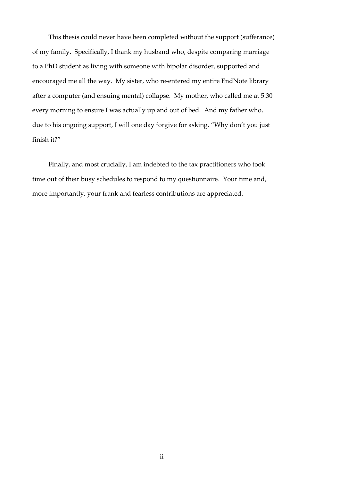This thesis could never have been completed without the support (sufferance) of my family. Specifically, I thank my husband who, despite comparing marriage to a PhD student as living with someone with bipolar disorder, supported and encouraged me all the way. My sister, who re-entered my entire EndNote library after a computer (and ensuing mental) collapse. My mother, who called me at 5.30 every morning to ensure I was actually up and out of bed. And my father who, due to his ongoing support, I will one day forgive for asking, "Why don't you just finish it?"

Finally, and most crucially, I am indebted to the tax practitioners who took time out of their busy schedules to respond to my questionnaire. Your time and, more importantly, your frank and fearless contributions are appreciated.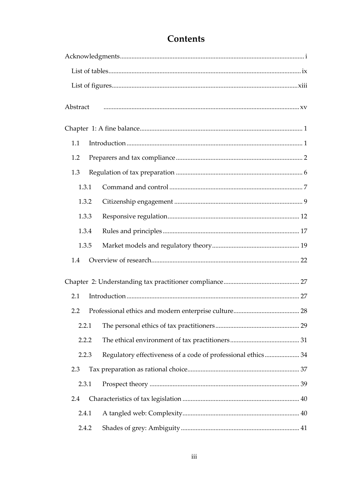| Abstract |       |                                                              |  |
|----------|-------|--------------------------------------------------------------|--|
|          |       |                                                              |  |
| 1.1      |       |                                                              |  |
| 1.2      |       |                                                              |  |
| 1.3      |       |                                                              |  |
|          | 1.3.1 |                                                              |  |
|          | 1.3.2 |                                                              |  |
|          | 1.3.3 |                                                              |  |
|          | 1.3.4 |                                                              |  |
|          | 1.3.5 |                                                              |  |
| 1.4      |       |                                                              |  |
|          |       |                                                              |  |
| 2.1      |       |                                                              |  |
| 2.2      |       |                                                              |  |
|          | 2.2.1 |                                                              |  |
|          | 2.2.2 |                                                              |  |
|          | 2.2.3 | Regulatory effectiveness of a code of professional ethics 34 |  |
| 2.3      |       |                                                              |  |
|          | 2.3.1 |                                                              |  |
| 2.4      |       |                                                              |  |
|          | 2.4.1 |                                                              |  |
|          | 2.4.2 |                                                              |  |

## Contents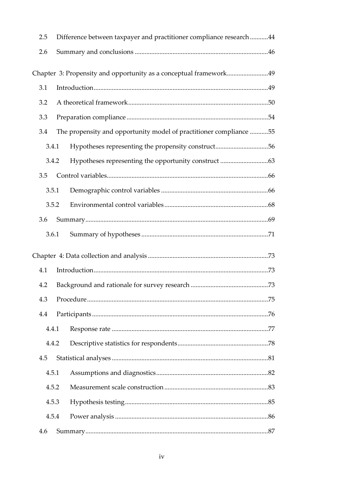| 2.5   |       | Difference between taxpayer and practitioner compliance research44 |  |
|-------|-------|--------------------------------------------------------------------|--|
| 2.6   |       |                                                                    |  |
|       |       | Chapter 3: Propensity and opportunity as a conceptual framework49  |  |
| 3.1   |       |                                                                    |  |
| 3.2   |       |                                                                    |  |
| 3.3   |       |                                                                    |  |
| 3.4   |       | The propensity and opportunity model of practitioner compliance 55 |  |
|       | 3.4.1 | Hypotheses representing the propensity construct56                 |  |
|       | 3.4.2 |                                                                    |  |
| 3.5   |       |                                                                    |  |
| 3.5.1 |       |                                                                    |  |
| 3.5.2 |       |                                                                    |  |
| 3.6   |       |                                                                    |  |
| 3.6.1 |       |                                                                    |  |
|       |       |                                                                    |  |
| 4.1   |       |                                                                    |  |
| 4.2   |       |                                                                    |  |
| 4.3   |       |                                                                    |  |
| 4.4   |       |                                                                    |  |
| 4.4.1 |       |                                                                    |  |
| 4.4.2 |       |                                                                    |  |
| 4.5   |       |                                                                    |  |
| 4.5.1 |       |                                                                    |  |
| 4.5.2 |       |                                                                    |  |
| 4.5.3 |       |                                                                    |  |
| 4.5.4 |       |                                                                    |  |
| 4.6   |       |                                                                    |  |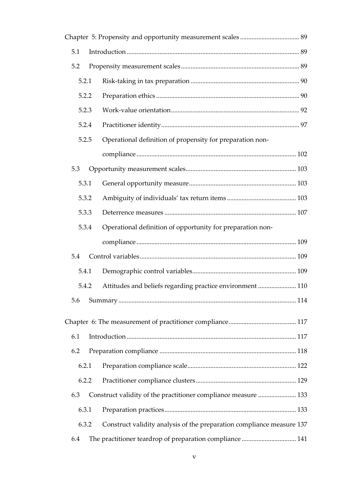| 5.1   |                                                                       |  |
|-------|-----------------------------------------------------------------------|--|
| 5.2   |                                                                       |  |
| 5.2.1 |                                                                       |  |
| 5.2.2 |                                                                       |  |
| 5.2.3 |                                                                       |  |
| 5.2.4 |                                                                       |  |
| 5.2.5 | Operational definition of propensity for preparation non-             |  |
|       |                                                                       |  |
| 5.3   |                                                                       |  |
| 5.3.1 |                                                                       |  |
| 5.3.2 |                                                                       |  |
| 5.3.3 |                                                                       |  |
| 5.3.4 | Operational definition of opportunity for preparation non-            |  |
|       |                                                                       |  |
| 5.4   |                                                                       |  |
| 5.4.1 |                                                                       |  |
| 5.4.2 | Attitudes and beliefs regarding practice environment  110             |  |
| 5.6   |                                                                       |  |
|       |                                                                       |  |
| 6.1   |                                                                       |  |
| 6.2   |                                                                       |  |
| 6.2.1 |                                                                       |  |
| 6.2.2 |                                                                       |  |
| 6.3   | Construct validity of the practitioner compliance measure  133        |  |
| 6.3.1 |                                                                       |  |
| 6.3.2 | Construct validity analysis of the preparation compliance measure 137 |  |
| 6.4   | The practitioner teardrop of preparation compliance  141              |  |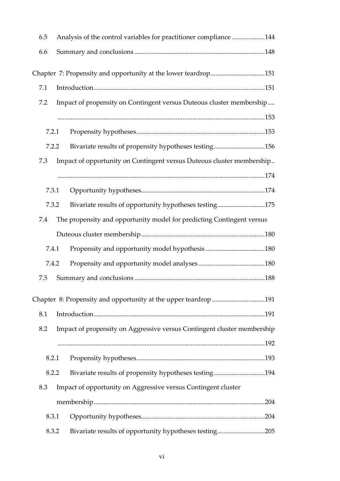| 6.5 |       | Analysis of the control variables for practitioner compliance 144       |  |
|-----|-------|-------------------------------------------------------------------------|--|
| 6.6 |       |                                                                         |  |
|     |       | Chapter 7: Propensity and opportunity at the lower teardrop151          |  |
| 7.1 |       |                                                                         |  |
| 7.2 |       | Impact of propensity on Contingent versus Duteous cluster membership    |  |
|     |       |                                                                         |  |
|     | 7.2.1 |                                                                         |  |
|     | 7.2.2 | Bivariate results of propensity hypotheses testing156                   |  |
| 7.3 |       | Impact of opportunity on Contingent versus Duteous cluster membership   |  |
|     |       |                                                                         |  |
|     | 7.3.1 |                                                                         |  |
|     | 7.3.2 | Bivariate results of opportunity hypotheses testing175                  |  |
| 7.4 |       | The propensity and opportunity model for predicting Contingent versus   |  |
|     |       |                                                                         |  |
|     | 7.4.1 |                                                                         |  |
|     | 7.4.2 |                                                                         |  |
| 7.5 |       |                                                                         |  |
|     |       | Chapter 8: Propensity and opportunity at the upper teardrop 191         |  |
| 8.1 |       |                                                                         |  |
| 8.2 |       | Impact of propensity on Aggressive versus Contingent cluster membership |  |
|     |       |                                                                         |  |
|     | 8.2.1 |                                                                         |  |
|     | 8.2.2 | Bivariate results of propensity hypotheses testing194                   |  |
| 8.3 |       | Impact of opportunity on Aggressive versus Contingent cluster           |  |
|     |       |                                                                         |  |
|     | 8.3.1 |                                                                         |  |
|     | 8.3.2 | Bivariate results of opportunity hypotheses testing205                  |  |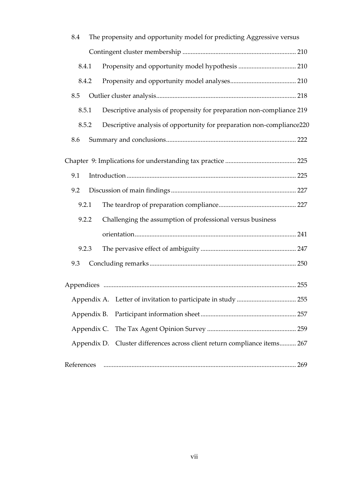| 8.4   |             | The propensity and opportunity model for predicting Aggressive versus     |  |
|-------|-------------|---------------------------------------------------------------------------|--|
|       |             |                                                                           |  |
| 8.4.1 |             |                                                                           |  |
| 8.4.2 |             |                                                                           |  |
| 8.5   |             |                                                                           |  |
| 8.5.1 |             | Descriptive analysis of propensity for preparation non-compliance 219     |  |
| 8.5.2 |             | Descriptive analysis of opportunity for preparation non-compliance220     |  |
| 8.6   |             |                                                                           |  |
|       |             |                                                                           |  |
| 9.1   |             |                                                                           |  |
| 9.2   |             |                                                                           |  |
| 9.2.1 |             |                                                                           |  |
| 9.2.2 |             | Challenging the assumption of professional versus business                |  |
|       |             |                                                                           |  |
| 9.2.3 |             |                                                                           |  |
| 9.3   |             |                                                                           |  |
|       |             |                                                                           |  |
|       |             |                                                                           |  |
|       | Appendix B. |                                                                           |  |
|       | Appendix C. |                                                                           |  |
|       |             | Appendix D. Cluster differences across client return compliance items 267 |  |
|       |             |                                                                           |  |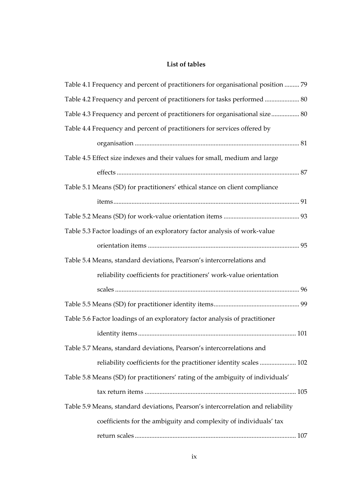## **List of tables**

<span id="page-12-0"></span>

| Table 4.1 Frequency and percent of practitioners for organisational position  79 |
|----------------------------------------------------------------------------------|
| Table 4.2 Frequency and percent of practitioners for tasks performed  80         |
| Table 4.3 Frequency and percent of practitioners for organisational size 80      |
| Table 4.4 Frequency and percent of practitioners for services offered by         |
|                                                                                  |
| Table 4.5 Effect size indexes and their values for small, medium and large       |
|                                                                                  |
| Table 5.1 Means (SD) for practitioners' ethical stance on client compliance      |
|                                                                                  |
|                                                                                  |
| Table 5.3 Factor loadings of an exploratory factor analysis of work-value        |
|                                                                                  |
| Table 5.4 Means, standard deviations, Pearson's intercorrelations and            |
| reliability coefficients for practitioners' work-value orientation               |
|                                                                                  |
|                                                                                  |
| Table 5.6 Factor loadings of an exploratory factor analysis of practitioner      |
|                                                                                  |
| Table 5.7 Means, standard deviations, Pearson's intercorrelations and            |
| reliability coefficients for the practitioner identity scales  102               |
| Table 5.8 Means (SD) for practitioners' rating of the ambiguity of individuals'  |
|                                                                                  |
| Table 5.9 Means, standard deviations, Pearson's intercorrelation and reliability |
| coefficients for the ambiguity and complexity of individuals' tax                |
|                                                                                  |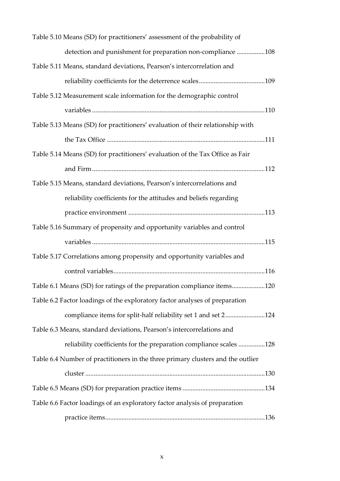| Table 5.10 Means (SD) for practitioners' assessment of the probability of       |
|---------------------------------------------------------------------------------|
| detection and punishment for preparation non-compliance 108                     |
| Table 5.11 Means, standard deviations, Pearson's intercorrelation and           |
|                                                                                 |
| Table 5.12 Measurement scale information for the demographic control            |
|                                                                                 |
| Table 5.13 Means (SD) for practitioners' evaluation of their relationship with  |
|                                                                                 |
| Table 5.14 Means (SD) for practitioners' evaluation of the Tax Office as Fair   |
|                                                                                 |
| Table 5.15 Means, standard deviations, Pearson's intercorrelations and          |
| reliability coefficients for the attitudes and beliefs regarding                |
|                                                                                 |
| Table 5.16 Summary of propensity and opportunity variables and control          |
|                                                                                 |
| Table 5.17 Correlations among propensity and opportunity variables and          |
|                                                                                 |
| Table 6.1 Means (SD) for ratings of the preparation compliance items120         |
| Table 6.2 Factor loadings of the exploratory factor analyses of preparation     |
| compliance items for split-half reliability set 1 and set 2124                  |
| Table 6.3 Means, standard deviations, Pearson's intercorrelations and           |
| reliability coefficients for the preparation compliance scales 128              |
| Table 6.4 Number of practitioners in the three primary clusters and the outlier |
|                                                                                 |
|                                                                                 |
| Table 6.6 Factor loadings of an exploratory factor analysis of preparation      |
|                                                                                 |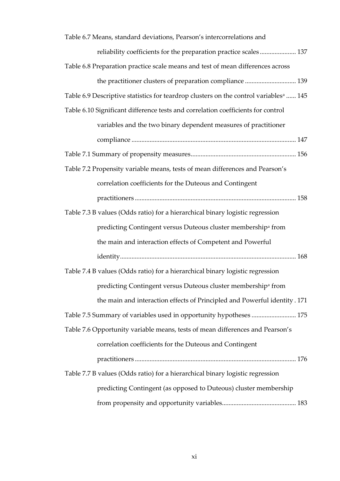| Table 6.7 Means, standard deviations, Pearson's intercorrelations and                            |
|--------------------------------------------------------------------------------------------------|
| reliability coefficients for the preparation practice scales 137                                 |
| Table 6.8 Preparation practice scale means and test of mean differences across                   |
| the practitioner clusters of preparation compliance  139                                         |
| Table 6.9 Descriptive statistics for teardrop clusters on the control variables <sup>a</sup> 145 |
| Table 6.10 Significant difference tests and correlation coefficients for control                 |
| variables and the two binary dependent measures of practitioner                                  |
|                                                                                                  |
|                                                                                                  |
| Table 7.2 Propensity variable means, tests of mean differences and Pearson's                     |
| correlation coefficients for the Duteous and Contingent                                          |
|                                                                                                  |
| Table 7.3 B values (Odds ratio) for a hierarchical binary logistic regression                    |
| predicting Contingent versus Duteous cluster membership <sup>a</sup> from                        |
| the main and interaction effects of Competent and Powerful                                       |
|                                                                                                  |
| Table 7.4 B values (Odds ratio) for a hierarchical binary logistic regression                    |
| predicting Contingent versus Duteous cluster membership <sup>a</sup> from                        |
| the main and interaction effects of Principled and Powerful identity. 171                        |
| Table 7.5 Summary of variables used in opportunity hypotheses  175                               |
| Table 7.6 Opportunity variable means, tests of mean differences and Pearson's                    |
| correlation coefficients for the Duteous and Contingent                                          |
|                                                                                                  |
| Table 7.7 B values (Odds ratio) for a hierarchical binary logistic regression                    |
| predicting Contingent (as opposed to Duteous) cluster membership                                 |
|                                                                                                  |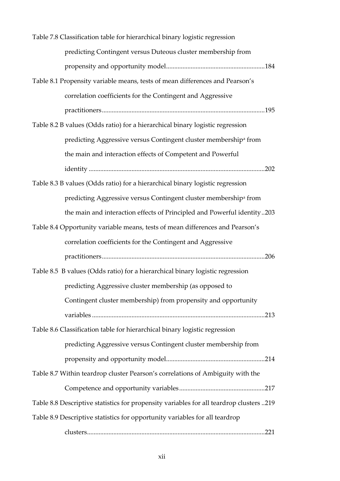| Table 7.8 Classification table for hierarchical binary logistic regression              |  |  |
|-----------------------------------------------------------------------------------------|--|--|
| predicting Contingent versus Duteous cluster membership from                            |  |  |
|                                                                                         |  |  |
| Table 8.1 Propensity variable means, tests of mean differences and Pearson's            |  |  |
| correlation coefficients for the Contingent and Aggressive                              |  |  |
|                                                                                         |  |  |
| Table 8.2 B values (Odds ratio) for a hierarchical binary logistic regression           |  |  |
| predicting Aggressive versus Contingent cluster membership <sup>a</sup> from            |  |  |
| the main and interaction effects of Competent and Powerful                              |  |  |
|                                                                                         |  |  |
| Table 8.3 B values (Odds ratio) for a hierarchical binary logistic regression           |  |  |
| predicting Aggressive versus Contingent cluster membership <sup>a</sup> from            |  |  |
| the main and interaction effects of Principled and Powerful identity203                 |  |  |
| Table 8.4 Opportunity variable means, tests of mean differences and Pearson's           |  |  |
|                                                                                         |  |  |
| correlation coefficients for the Contingent and Aggressive                              |  |  |
|                                                                                         |  |  |
| Table 8.5 B values (Odds ratio) for a hierarchical binary logistic regression           |  |  |
| predicting Aggressive cluster membership (as opposed to                                 |  |  |
| Contingent cluster membership) from propensity and opportunity                          |  |  |
|                                                                                         |  |  |
| Table 8.6 Classification table for hierarchical binary logistic regression              |  |  |
| predicting Aggressive versus Contingent cluster membership from                         |  |  |
|                                                                                         |  |  |
| Table 8.7 Within teardrop cluster Pearson's correlations of Ambiguity with the          |  |  |
|                                                                                         |  |  |
| Table 8.8 Descriptive statistics for propensity variables for all teardrop clusters 219 |  |  |
| Table 8.9 Descriptive statistics for opportunity variables for all teardrop             |  |  |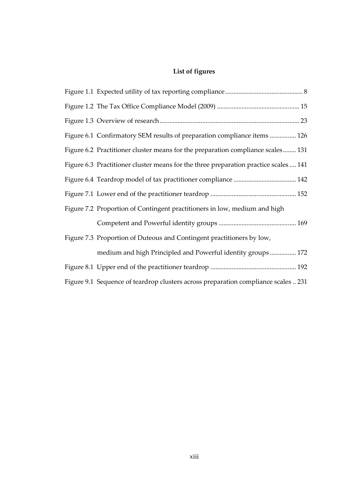## **List of figures**

<span id="page-16-0"></span>

| Figure 6.1 Confirmatory SEM results of preparation compliance items  126             |
|--------------------------------------------------------------------------------------|
| Figure 6.2 Practitioner cluster means for the preparation compliance scales 131      |
| Figure 6.3 Practitioner cluster means for the three preparation practice scales  141 |
|                                                                                      |
|                                                                                      |
| Figure 7.2 Proportion of Contingent practitioners in low, medium and high            |
|                                                                                      |
| Figure 7.3 Proportion of Duteous and Contingent practitioners by low,                |
| medium and high Principled and Powerful identity groups 172                          |
|                                                                                      |
| Figure 9.1 Sequence of teardrop clusters across preparation compliance scales  231   |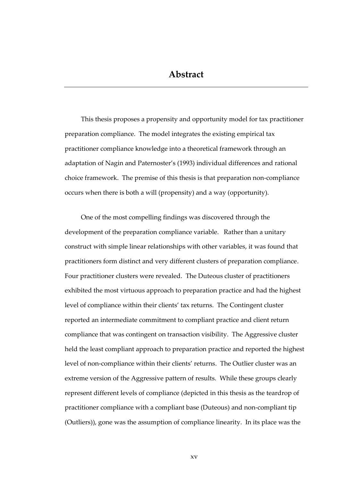<span id="page-18-0"></span>This thesis proposes a propensity and opportunity model for tax practitioner preparation compliance. The model integrates the existing empirical tax practitioner compliance knowledge into a theoretical framework through an adaptation of Nagin and Paternoster's (1993) individual differences and rational choice framework. The premise of this thesis is that preparation non-compliance occurs when there is both a will (propensity) and a way (opportunity).

One of the most compelling findings was discovered through the development of the preparation compliance variable. Rather than a unitary construct with simple linear relationships with other variables, it was found that practitioners form distinct and very different clusters of preparation compliance. Four practitioner clusters were revealed. The Duteous cluster of practitioners exhibited the most virtuous approach to preparation practice and had the highest level of compliance within their clients' tax returns. The Contingent cluster reported an intermediate commitment to compliant practice and client return compliance that was contingent on transaction visibility. The Aggressive cluster held the least compliant approach to preparation practice and reported the highest level of non-compliance within their clients' returns. The Outlier cluster was an extreme version of the Aggressive pattern of results. While these groups clearly represent different levels of compliance (depicted in this thesis as the teardrop of practitioner compliance with a compliant base (Duteous) and non-compliant tip (Outliers)), gone was the assumption of compliance linearity. In its place was the

xv